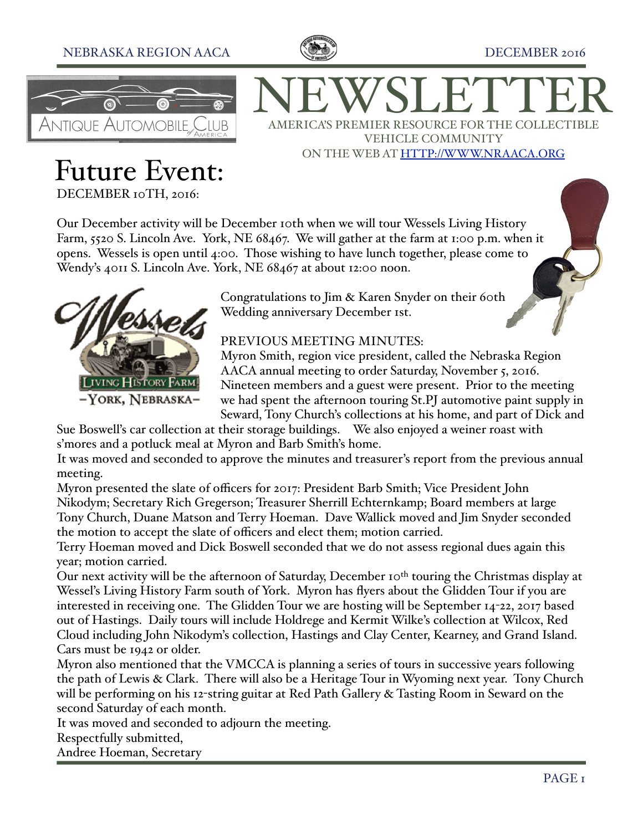## NEBRASKA REGION AACA  $\mathbb{C}$  DECEMBER 2016





NEWSLETTER VEHICLE COMMUNITY

ON THE WEB AT [HTTP://WWW.NRAACA.ORG](http://www.aacanr.org)

Future Event:

DECEMBER 10TH, 2016:

Our December activity will be December 10th when we will tour Wessels Living History Farm, 5520 S. Lincoln Ave. York, NE 68467. We will gather at the farm at 1:00 p.m. when it opens. Wessels is open until 4:00. Those wishing to have lunch together, please come to Wendy's 4011 S. Lincoln Ave. York, NE 68467 at about 12:00 noon.



Congratulations to Jim & Karen Snyder on their 60th Wedding anniversary December 1st.

## PREVIOUS MEETING MINUTES:

Myron Smith, region vice president, called the Nebraska Region AACA annual meeting to order Saturday, November 5, 2016. Nineteen members and a guest were present. Prior to the meeting we had spent the afternoon touring St.PJ automotive paint supply in Seward, Tony Church's collections at his home, and part of Dick and

Sue Boswell's car collection at their storage buildings. We also enjoyed a weiner roast with s'mores and a potluck meal at Myron and Barb Smith's home.

It was moved and seconded to approve the minutes and treasurer's report from the previous annual meeting.

Myron presented the slate of officers for 2017: President Barb Smith; Vice President John Nikodym; Secretary Rich Gregerson; Treasurer Sherrill Echternkamp; Board members at large Tony Church, Duane Matson and Terry Hoeman. Dave Wallick moved and Jim Snyder seconded the motion to accept the slate of officers and elect them; motion carried.

Terry Hoeman moved and Dick Boswell seconded that we do not assess regional dues again this year; motion carried.

Our next activity will be the afternoon of Saturday, December 10th touring the Christmas display at Wessel's Living History Farm south of York. Myron has flyers about the Glidden Tour if you are interested in receiving one. The Glidden Tour we are hosting will be September 14-22, 2017 based out of Hastings. Daily tours will include Holdrege and Kermit Wilke's collection at Wilcox, Red Cloud including John Nikodym's collection, Hastings and Clay Center, Kearney, and Grand Island. Cars must be 1942 or older.

Myron also mentioned that the VMCCA is planning a series of tours in successive years following the path of Lewis & Clark. There will also be a Heritage Tour in Wyoming next year. Tony Church will be performing on his 12-string guitar at Red Path Gallery & Tasting Room in Seward on the second Saturday of each month.

It was moved and seconded to adjourn the meeting.

Respectfully submitted,

Andree Hoeman, Secretary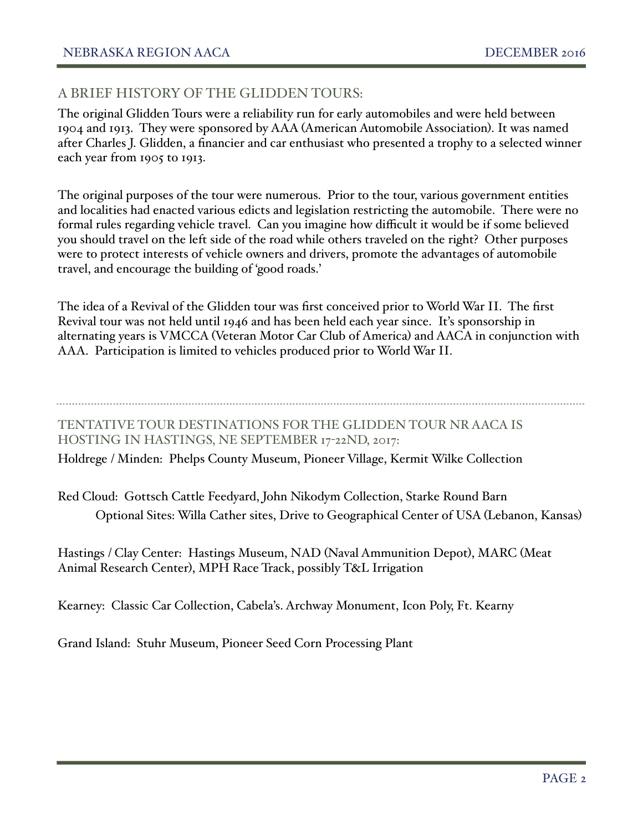## A BRIEF HISTORY OF THE GLIDDEN TOURS:

The original Glidden Tours were a reliability run for early automobiles and were held between 1904 and 1913. They were sponsored by AAA (American Automobile Association). It was named after Charles J. Glidden, a financier and car enthusiast who presented a trophy to a selected winner each year from 1905 to 1913.

The original purposes of the tour were numerous. Prior to the tour, various government entities and localities had enacted various edicts and legislation restricting the automobile. There were no formal rules regarding vehicle travel. Can you imagine how difficult it would be if some believed you should travel on the left side of the road while others traveled on the right? Other purposes were to protect interests of vehicle owners and drivers, promote the advantages of automobile travel, and encourage the building of 'good roads.'

The idea of a Revival of the Glidden tour was first conceived prior to World War II. The first Revival tour was not held until 1946 and has been held each year since. It's sponsorship in alternating years is VMCCA (Veteran Motor Car Club of America) and AACA in conjunction with AAA. Participation is limited to vehicles produced prior to World War II.

# TENTATIVE TOUR DESTINATIONS FOR THE GLIDDEN TOUR NR AACA IS HOSTING IN HASTINGS, NE SEPTEMBER 17-22ND, 2017:

Holdrege / Minden: Phelps County Museum, Pioneer Village, Kermit Wilke Collection

Red Cloud: Gottsch Cattle Feedyard, John Nikodym Collection, Starke Round Barn Optional Sites: Willa Cather sites, Drive to Geographical Center of USA (Lebanon, Kansas)

Hastings / Clay Center: Hastings Museum, NAD (Naval Ammunition Depot), MARC (Meat Animal Research Center), MPH Race Track, possibly T&L Irrigation

Kearney: Classic Car Collection, Cabela's. Archway Monument, Icon Poly, Ft. Kearny

Grand Island: Stuhr Museum, Pioneer Seed Corn Processing Plant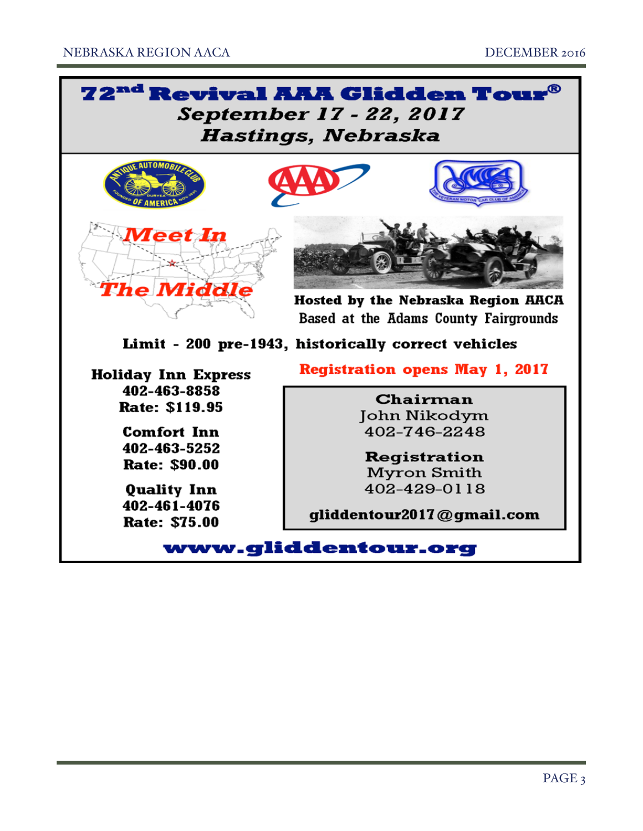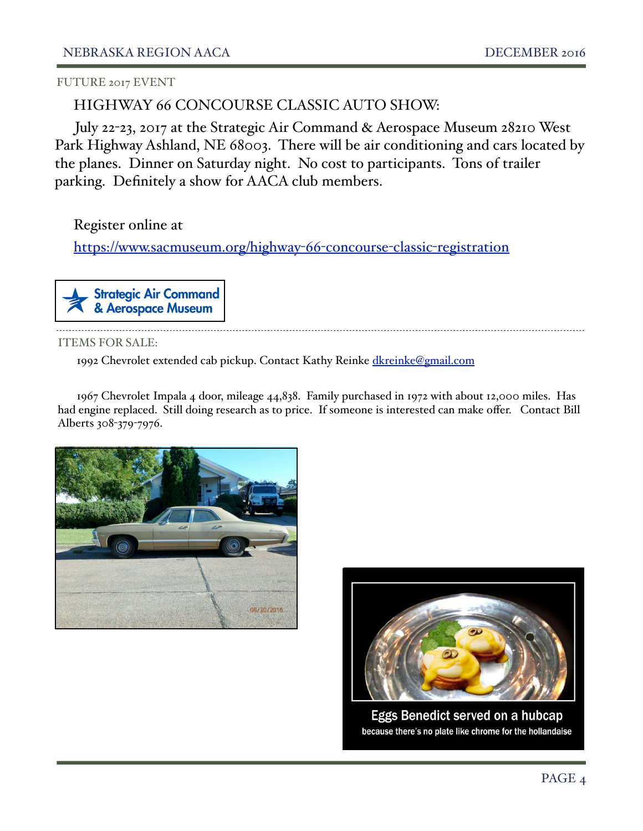FUTURE 2017 EVENT

# HIGHWAY 66 CONCOURSE CLASSIC AUTO SHOW:

July 22-23, 2017 at the Strategic Air Command & Aerospace Museum 28210 West Park Highway Ashland, NE 68003. There will be air conditioning and cars located by the planes. Dinner on Saturday night. No cost to participants. Tons of trailer parking. Definitely a show for AACA club members.

Register online at

[https://www.sacmuseum.org/highway](https://www.sacmuseum.org/highway-66-concourse-classic-registration)-66-concourse-classic-registration

**Strategic Air Command** & Aerospace Museum

ITEMS FOR SALE:

1992 Chevrolet extended cab pickup. Contact Kathy Reinke [dkreinke@gmail.com](mailto:dkreinke@gmail.com)

1967 Chevrolet Impala 4 door, mileage 44,838. Family purchased in 1972 with about 12,000 miles. Has had engine replaced. Still doing research as to price. If someone is interested can make offer. Contact Bill Alberts 308-379-7976.





because there's no plate like chrome for the hollandaise